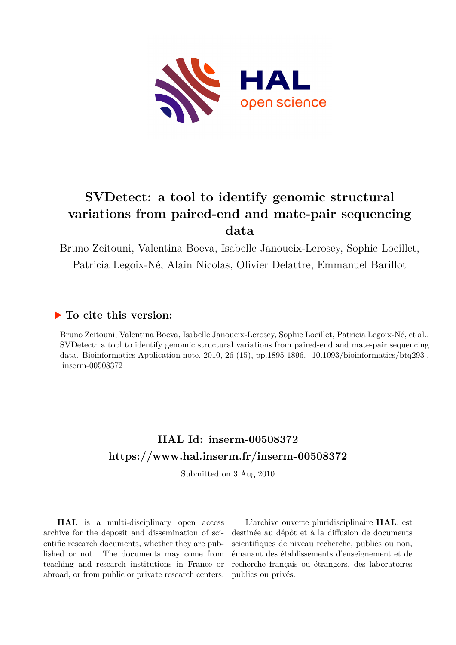

# **SVDetect: a tool to identify genomic structural variations from paired-end and mate-pair sequencing data**

Bruno Zeitouni, Valentina Boeva, Isabelle Janoueix-Lerosey, Sophie Loeillet, Patricia Legoix-Né, Alain Nicolas, Olivier Delattre, Emmanuel Barillot

### **To cite this version:**

Bruno Zeitouni, Valentina Boeva, Isabelle Janoueix-Lerosey, Sophie Loeillet, Patricia Legoix-Né, et al.. SVDetect: a tool to identify genomic structural variations from paired-end and mate-pair sequencing data. Bioinformatics Application note,  $2010$ ,  $26$  (15), pp.1895-1896.  $10.1093/bioinformatics/btq293$ .  $inserm-00508372$ 

## **HAL Id: inserm-00508372 <https://www.hal.inserm.fr/inserm-00508372>**

Submitted on 3 Aug 2010

**HAL** is a multi-disciplinary open access archive for the deposit and dissemination of scientific research documents, whether they are published or not. The documents may come from teaching and research institutions in France or abroad, or from public or private research centers.

L'archive ouverte pluridisciplinaire **HAL**, est destinée au dépôt et à la diffusion de documents scientifiques de niveau recherche, publiés ou non, émanant des établissements d'enseignement et de recherche français ou étrangers, des laboratoires publics ou privés.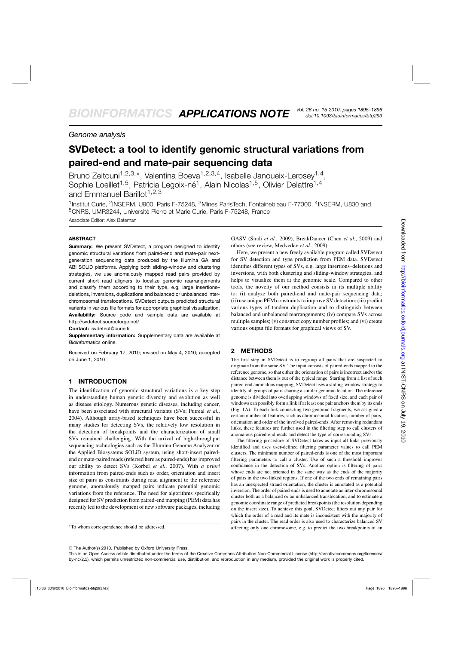### *Genome analysis*

### **SVDetect: a tool to identify genomic structural variations from paired-end and mate-pair sequencing data**

Bruno Zeitouni<sup>1,2,3,∗</sup>, Valentina Boeva<sup>1,2,3,4</sup>, Isabelle Janoueix-Lerosey<sup>1,4</sup>, Sophie Loeillet<sup>1,5</sup>, Patricia Legoix-né<sup>1</sup>, Alain Nicolas<sup>1,5</sup>, Olivier Delattre<sup>1,4</sup> and Emmanuel Barillot<sup>1,2,3</sup>

<sup>1</sup>Institut Curie, <sup>2</sup>INSERM, U900, Paris F-75248, <sup>3</sup>Mines ParisTech, Fontainebleau F-77300, <sup>4</sup>INSERM, U830 and 5CNRS, UMR3244, Université Pierre et Marie Curie, Paris F-75248, France

Associate Editor: Alex Bateman

#### **ABSTRACT**

**Summary:** We present SVDetect, a program designed to identify genomic structural variations from paired-end and mate-pair nextgeneration sequencing data produced by the Illumina GA and ABI SOLiD platforms. Applying both sliding-window and clustering strategies, we use anomalously mapped read pairs provided by current short read aligners to localize genomic rearrangements and classify them according to their type, e.g. large insertions– deletions, inversions, duplications and balanced or unbalanced interchromosomal translocations. SVDetect outputs predicted structural variants in various file formats for appropriate graphical visualization. **Availability:** Source code and sample data are available at <http://svdetect.sourceforge.net/>

**Contact:** svdetect@curie.fr

**Supplementary information:** Supplementary data are available at *Bioinformatics* online.

Received on February 17, 2010; revised on May 4, 2010; accepted on June 1, 2010

#### **1 INTRODUCTION**

The identification of genomic structural variations is a key step in understanding human genetic diversity and evolution as well as disease etiology. Numerous genetic diseases, including cancer, have been associated with structural variants (SVs; Futreal *et al.*, 2004). Although array-based techniques have been successful in many studies for detecting SVs, the relatively low resolution in the detection of breakpoints and the characterization of small SVs remained challenging. With the arrival of high-throughput sequencing technologies such as the Illumina Genome Analyzer or the Applied Biosystems SOLiD system, using short-insert pairedend or mate-paired reads (referred here as paired-ends) has improved our ability to detect SVs (Korbel *et al.*, 2007). With *a priori* information from paired-ends such as order, orientation and insert size of pairs as constraints during read alignment to the reference genome, anomalously mapped pairs indicate potential genomic variations from the reference. The need for algorithms specifically designed for SV prediction from paired-end mapping (PEM) data has recently led to the development of new software packages, including

GASV (Sindi *et al.*, 2009), BreakDancer (Chen *et al.*, 2009) and others (see review, Medvedev *et al.*, 2009).

Here, we present a new freely available program called SVDetect for SV detection and type prediction from PEM data. SVDetect identifies different types of SVs, e.g. large insertions–deletions and inversions, with both clustering and sliding-window strategies, and helps to visualize them at the genomic scale. Compared to other tools, the novelty of our method consists in its multiple ability to: (i) analyze both paired-end and mate-pair sequencing data; (ii) use unique PEM constraints to improve SV detection; (iii) predict various types of tandem duplication and to distinguish between balanced and unbalanced rearrangements; (iv) compare SVs across multiple samples; (v) construct copy number profiles; and (vi) create various output file formats for graphical views of SV.

#### **2 METHODS**

The first step in SVDetect is to regroup all pairs that are suspected to originate from the same SV. The input consists of paired-ends mapped to the reference genome, so that either the orientation of pairs is incorrect and/or the distance between them is out of the typical range. Starting from a list of such paired-end anomalous mapping, SVDetect uses a sliding-window strategy to identify all groups of pairs sharing a similar genomic location. The reference genome is divided into overlapping windows of fixed size, and each pair of windows can possibly form a link if at least one pair anchors them by its ends (Fig. 1A). To each link connecting two genomic fragments, we assigned a certain number of features, such as chromosomal location, number of pairs, orientation and order of the involved paired-ends. After removing redundant links, these features are further used in the filtering step to call clusters of anomalous paired-end reads and detect the type of corresponding SVs.

The filtering procedure of SVDetect takes as input all links previously identified and uses user-defined filtering parameter values to call PEM clusters. The minimum number of paired-ends is one of the most important filtering parameters to call a cluster. Use of such a threshold improves confidence in the detection of SVs. Another option is filtering of pairs whose ends are not oriented in the same way as the ends of the majority of pairs in the two linked regions. If one of the two ends of remaining pairs has an unexpected strand orientation, the cluster is annotated as a potential inversion. The order of paired-ends is used to annotate an inter-chromosomal cluster both as a balanced or an unbalanced translocation, and to estimate a genomic coordinate range of predicted breakpoints (the resolution depending on the insert size). To achieve this goal, SVDetect filters out any pair for which the order of a read and its mate is inconsistent with the majority of pairs in the cluster. The read order is also used to characterize balanced SV affecting only one chromosome, e.g. to predict the two breakpoints of an

<sup>∗</sup>To whom correspondence should be addressed.

<sup>©</sup> The Author(s) 2010. Published by Oxford University Press.

This is an Open Access article distributed under the terms of the Creative Commons Attribution Non-Commercial License (<http://creativecommons.org/licenses/> by-nc/2.5), which permits unrestricted non-commercial use, distribution, and reproduction in any medium, provided the original work is properly cited.